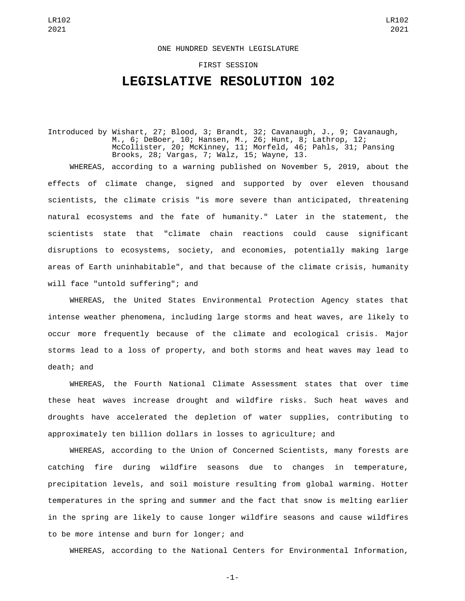## LR102 2021

## ONE HUNDRED SEVENTH LEGISLATURE

FIRST SESSION

## **LEGISLATIVE RESOLUTION 102**

Introduced by Wishart, 27; Blood, 3; Brandt, 32; Cavanaugh, J., 9; Cavanaugh, M., 6; DeBoer, 10; Hansen, M., 26; Hunt, 8; Lathrop, 12; McCollister, 20; McKinney, 11; Morfeld, 46; Pahls, 31; Pansing Brooks, 28; Vargas, 7; Walz, 15; Wayne, 13.

WHEREAS, according to a warning published on November 5, 2019, about the effects of climate change, signed and supported by over eleven thousand scientists, the climate crisis "is more severe than anticipated, threatening natural ecosystems and the fate of humanity." Later in the statement, the scientists state that "climate chain reactions could cause significant disruptions to ecosystems, society, and economies, potentially making large areas of Earth uninhabitable", and that because of the climate crisis, humanity will face "untold suffering"; and

WHEREAS, the United States Environmental Protection Agency states that intense weather phenomena, including large storms and heat waves, are likely to occur more frequently because of the climate and ecological crisis. Major storms lead to a loss of property, and both storms and heat waves may lead to death; and

WHEREAS, the Fourth National Climate Assessment states that over time these heat waves increase drought and wildfire risks. Such heat waves and droughts have accelerated the depletion of water supplies, contributing to approximately ten billion dollars in losses to agriculture; and

WHEREAS, according to the Union of Concerned Scientists, many forests are catching fire during wildfire seasons due to changes in temperature, precipitation levels, and soil moisture resulting from global warming. Hotter temperatures in the spring and summer and the fact that snow is melting earlier in the spring are likely to cause longer wildfire seasons and cause wildfires to be more intense and burn for longer; and

WHEREAS, according to the National Centers for Environmental Information,

-1-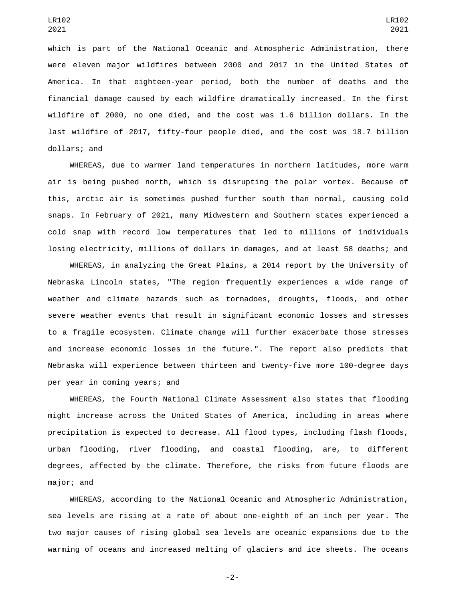which is part of the National Oceanic and Atmospheric Administration, there were eleven major wildfires between 2000 and 2017 in the United States of America. In that eighteen-year period, both the number of deaths and the financial damage caused by each wildfire dramatically increased. In the first wildfire of 2000, no one died, and the cost was 1.6 billion dollars. In the last wildfire of 2017, fifty-four people died, and the cost was 18.7 billion dollars; and

WHEREAS, due to warmer land temperatures in northern latitudes, more warm air is being pushed north, which is disrupting the polar vortex. Because of this, arctic air is sometimes pushed further south than normal, causing cold snaps. In February of 2021, many Midwestern and Southern states experienced a cold snap with record low temperatures that led to millions of individuals losing electricity, millions of dollars in damages, and at least 58 deaths; and

WHEREAS, in analyzing the Great Plains, a 2014 report by the University of Nebraska Lincoln states, "The region frequently experiences a wide range of weather and climate hazards such as tornadoes, droughts, floods, and other severe weather events that result in significant economic losses and stresses to a fragile ecosystem. Climate change will further exacerbate those stresses and increase economic losses in the future.". The report also predicts that Nebraska will experience between thirteen and twenty-five more 100-degree days per year in coming years; and

WHEREAS, the Fourth National Climate Assessment also states that flooding might increase across the United States of America, including in areas where precipitation is expected to decrease. All flood types, including flash floods, urban flooding, river flooding, and coastal flooding, are, to different degrees, affected by the climate. Therefore, the risks from future floods are major; and

WHEREAS, according to the National Oceanic and Atmospheric Administration, sea levels are rising at a rate of about one-eighth of an inch per year. The two major causes of rising global sea levels are oceanic expansions due to the warming of oceans and increased melting of glaciers and ice sheets. The oceans

-2-